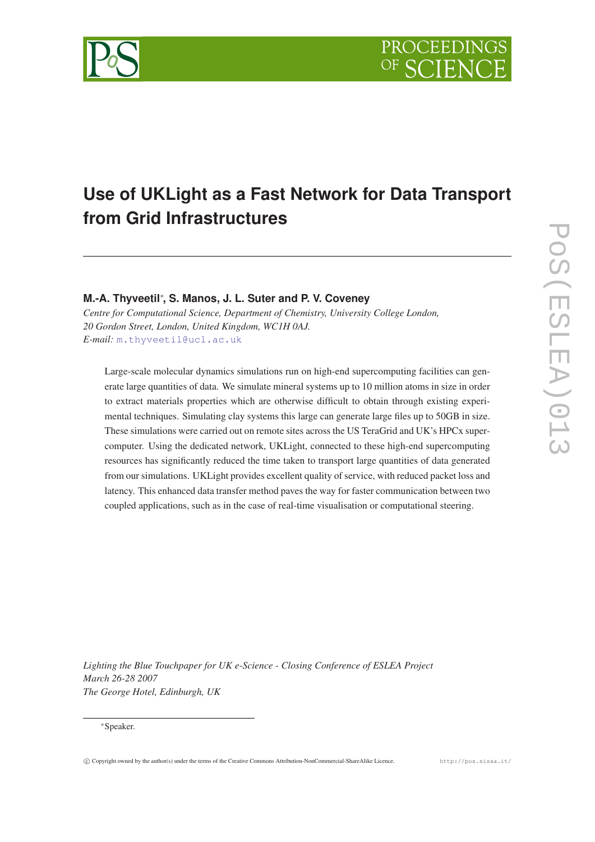

# **Use of UKLight as a Fast Network for Data Transport from Grid Infrastructures**

# **M.-A. Thyveetil**<sup>∗</sup> **, S. Manos, J. L. Suter and P. V. Coveney**

*Centre for Computational Science, Department of Chemistry, University College London, 20 Gordon Street, London, United Kingdom, WC1H 0AJ. E-mail:* [m.thyveetil@ucl.ac.uk](mailto:m.thyveetil@ucl.ac.uk)

Large-scale molecular dynamics simulations run on high-end supercomputing facilities can generate large quantities of data. We simulate mineral systems up to 10 million atoms in size in order to extract materials properties which are otherwise difficult to obtain through existing experimental techniques. Simulating clay systems this large can generate large files up to 50GB in size. These simulations were carried out on remote sites across the US TeraGrid and UK's HPCx supercomputer. Using the dedicated network, UKLight, connected to these high-end supercomputing resources has significantly reduced the time taken to transport large quantities of data generated from our simulations. UKLight provides excellent quality of service, with reduced packet loss and latency. This enhanced data transfer method paves the way for faster communication between two coupled applications, such as in the case of real-time visualisation or computational steering.

*Lighting the Blue Touchpaper for UK e-Science - Closing Conference of ESLEA Project March 26-28 2007 The George Hotel, Edinburgh, UK*

#### <sup>∗</sup>Speaker.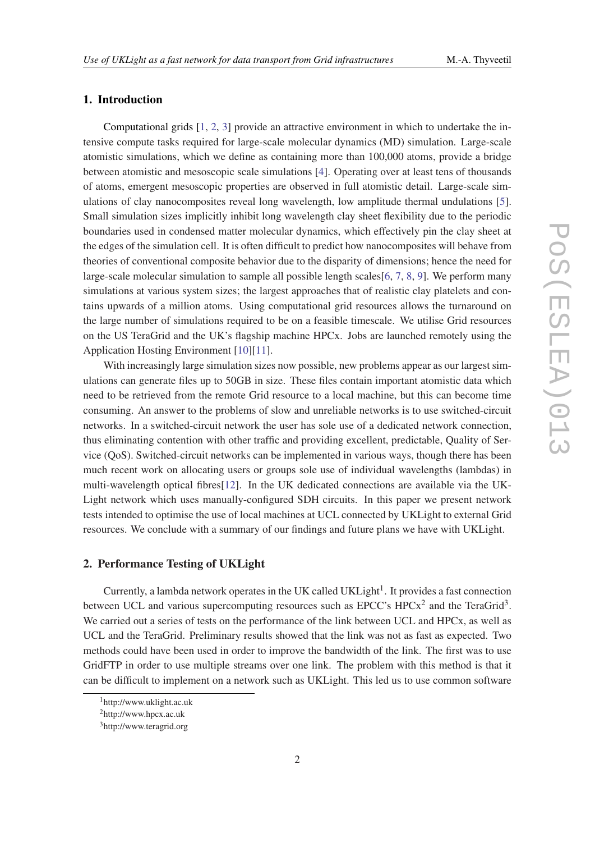## 1. Introduction

Computational grids [[1](#page-4-0), [2,](#page-4-0) [3\]](#page-4-0) provide an attractive environment in which to undertake the intensive compute tasks required for large-scale molecular dynamics (MD) simulation. Large-scale atomistic simulations, which we define as containing more than 100,000 atoms, provide a bridge between atomistic and mesoscopic scale simulations [[4](#page-4-0)]. Operating over at least tens of thousands of atoms, emergent mesoscopic properties are observed in full atomistic detail. Large-scale simulations of clay nanocomposites reveal long wavelength, low amplitude thermal undulations [\[5\]](#page-4-0). Small simulation sizes implicitly inhibit long wavelength clay sheet flexibility due to the periodic boundaries used in condensed matter molecular dynamics, which effectively pin the clay sheet at the edges of the simulation cell. It is often difficult to predict how nanocomposites will behave from theories of conventional composite behavior due to the disparity of dimensions; hence the need for large-scale molecular simulation to sample all possible length scales[[6](#page-4-0), [7](#page-4-0), [8](#page-4-0), [9](#page-4-0)]. We perform many simulations at various system sizes; the largest approaches that of realistic clay platelets and contains upwards of a million atoms. Using computational grid resources allows the turnaround on the large number of simulations required to be on a feasible timescale. We utilise Grid resources on the US TeraGrid and the UK's flagship machine HPCx. Jobs are launched remotely using the Application Hosting Environment [[10\]](#page-4-0)[[11\]](#page-4-0).

With increasingly large simulation sizes now possible, new problems appear as our largest simulations can generate files up to 50GB in size. These files contain important atomistic data which need to be retrieved from the remote Grid resource to a local machine, but this can become time consuming. An answer to the problems of slow and unreliable networks is to use switched-circuit networks. In a switched-circuit network the user has sole use of a dedicated network connection, thus eliminating contention with other traffic and providing excellent, predictable, Quality of Service (QoS). Switched-circuit networks can be implemented in various ways, though there has been much recent work on allocating users or groups sole use of individual wavelengths (lambdas) in multi-wavelength optical fibres[[12\]](#page-4-0). In the UK dedicated connections are available via the UK-Light network which uses manually-configured SDH circuits. In this paper we present network tests intended to optimise the use of local machines at UCL connected by UKLight to external Grid resources. We conclude with a summary of our findings and future plans we have with UKLight.

# 2. Performance Testing of UKLight

Currently, a lambda network operates in the UK called UKLight<sup>1</sup>. It provides a fast connection between UCL and various supercomputing resources such as EPCC's  $HPCx^2$  and the TeraGrid<sup>3</sup>. We carried out a series of tests on the performance of the link between UCL and HPCx, as well as UCL and the TeraGrid. Preliminary results showed that the link was not as fast as expected. Two methods could have been used in order to improve the bandwidth of the link. The first was to use GridFTP in order to use multiple streams over one link. The problem with this method is that it can be difficult to implement on a network such as UKLight. This led us to use common software

<sup>1</sup>http://www.uklight.ac.uk

<sup>2</sup>http://www.hpcx.ac.uk

<sup>3</sup>http://www.teragrid.org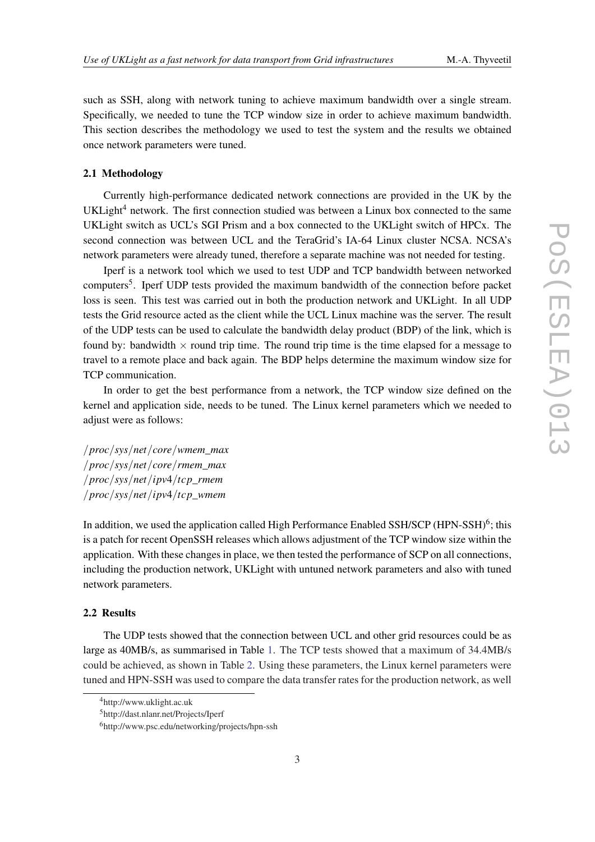such as SSH, along with network tuning to achieve maximum bandwidth over a single stream. Specifically, we needed to tune the TCP window size in order to achieve maximum bandwidth. This section describes the methodology we used to test the system and the results we obtained once network parameters were tuned.

#### 2.1 Methodology

Currently high-performance dedicated network connections are provided in the UK by the UKLight<sup>4</sup> network. The first connection studied was between a Linux box connected to the same UKLight switch as UCL's SGI Prism and a box connected to the UKLight switch of HPCx. The second connection was between UCL and the TeraGrid's IA-64 Linux cluster NCSA. NCSA's network parameters were already tuned, therefore a separate machine was not needed for testing.

Iperf is a network tool which we used to test UDP and TCP bandwidth between networked computers<sup>5</sup>. Iperf UDP tests provided the maximum bandwidth of the connection before packet loss is seen. This test was carried out in both the production network and UKLight. In all UDP tests the Grid resource acted as the client while the UCL Linux machine was the server. The result of the UDP tests can be used to calculate the bandwidth delay product (BDP) of the link, which is found by: bandwidth  $\times$  round trip time. The round trip time is the time elapsed for a message to travel to a remote place and back again. The BDP helps determine the maximum window size for TCP communication.

In order to get the best performance from a network, the TCP window size defined on the kernel and application side, needs to be tuned. The Linux kernel parameters which we needed to adjust were as follows:

/*proc*/*sys*/*net*/*core*/*wmem*\_*max* /*proc*/*sys*/*net*/*core*/*rmem*\_*max* /*proc*/*sys*/*net*/*ipv*4/*tcp*\_*rmem* /*proc*/*sys*/*net*/*ipv*4/*tcp*\_*wmem*

In addition, we used the application called High Performance Enabled SSH/SCP (HPN-SSH) $\rm^6$ ; this is a patch for recent OpenSSH releases which allows adjustment of the TCP window size within the application. With these changes in place, we then tested the performance of SCP on all connections, including the production network, UKLight with untuned network parameters and also with tuned network parameters.

### 2.2 Results

The UDP tests showed that the connection between UCL and other grid resources could be as large as 40MB/s, as summarised in Table [1](#page-3-0). The TCP tests showed that a maximum of 34.4MB/s could be achieved, as shown in Table [2.](#page-3-0) Using these parameters, the Linux kernel parameters were tuned and HPN-SSH was used to compare the data transfer rates for the production network, as well

<sup>4</sup>http://www.uklight.ac.uk

<sup>5</sup>http://dast.nlanr.net/Projects/Iperf

<sup>6</sup>http://www.psc.edu/networking/projects/hpn-ssh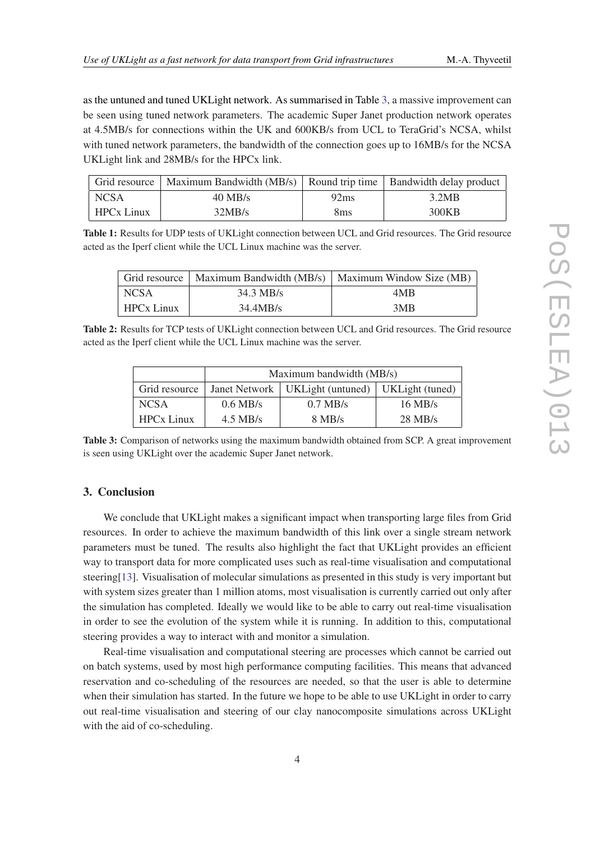<span id="page-3-0"></span>as the untuned and tuned UKLight network. As summarised in Table 3, a massive improvement can be seen using tuned network parameters. The academic Super Janet production network operates at 4.5MB/s for connections within the UK and 600KB/s from UCL to TeraGrid's NCSA, whilst with tuned network parameters, the bandwidth of the connection goes up to 16MB/s for the NCSA UKLight link and 28MB/s for the HPCx link.

|                   | Grid resource   Maximum Bandwidth (MB/s)   Round trip time   Bandwidth delay product |                 |       |
|-------------------|--------------------------------------------------------------------------------------|-----------------|-------|
| <b>NCSA</b>       | $40$ MB/s                                                                            | 92ms            | 3.2MB |
| <b>HPCx Linux</b> | 32MB/s                                                                               | 8 <sub>ms</sub> | 300KB |

Table 1: Results for UDP tests of UKLight connection between UCL and Grid resources. The Grid resource acted as the Iperf client while the UCL Linux machine was the server.

|                   |                     | Grid resource   Maximum Bandwidth (MB/s)   Maximum Window Size (MB) |
|-------------------|---------------------|---------------------------------------------------------------------|
| NCSA <sup>.</sup> | $34.3 \text{ MB/s}$ | 4MB                                                                 |
| <b>HPCx Linux</b> | 34.4MB/s            | 3MB                                                                 |

Table 2: Results for TCP tests of UKLight connection between UCL and Grid resources. The Grid resource acted as the Iperf client while the UCL Linux machine was the server.

|                   | Maximum bandwidth (MB/s) |                                                     |           |  |
|-------------------|--------------------------|-----------------------------------------------------|-----------|--|
| Grid resource     |                          | Janet Network   UKLight (untuned)   UKLight (tuned) |           |  |
| <b>NCSA</b>       | $0.6$ MB/s               | $0.7$ MB/s                                          | $16$ MB/s |  |
| <b>HPCx Linux</b> | $4.5$ MB/s               | $8$ MB/s                                            | $28$ MB/s |  |

Table 3: Comparison of networks using the maximum bandwidth obtained from SCP. A great improvement is seen using UKLight over the academic Super Janet network.

# 3. Conclusion

We conclude that UKLight makes a significant impact when transporting large files from Grid resources. In order to achieve the maximum bandwidth of this link over a single stream network parameters must be tuned. The results also highlight the fact that UKLight provides an efficient way to transport data for more complicated uses such as real-time visualisation and computational steering[[13](#page-4-0)]. Visualisation of molecular simulations as presented in this study is very important but with system sizes greater than 1 million atoms, most visualisation is currently carried out only after the simulation has completed. Ideally we would like to be able to carry out real-time visualisation in order to see the evolution of the system while it is running. In addition to this, computational steering provides a way to interact with and monitor a simulation.

Real-time visualisation and computational steering are processes which cannot be carried out on batch systems, used by most high performance computing facilities. This means that advanced reservation and co-scheduling of the resources are needed, so that the user is able to determine when their simulation has started. In the future we hope to be able to use UKLight in order to carry out real-time visualisation and steering of our clay nanocomposite simulations across UKLight with the aid of co-scheduling.